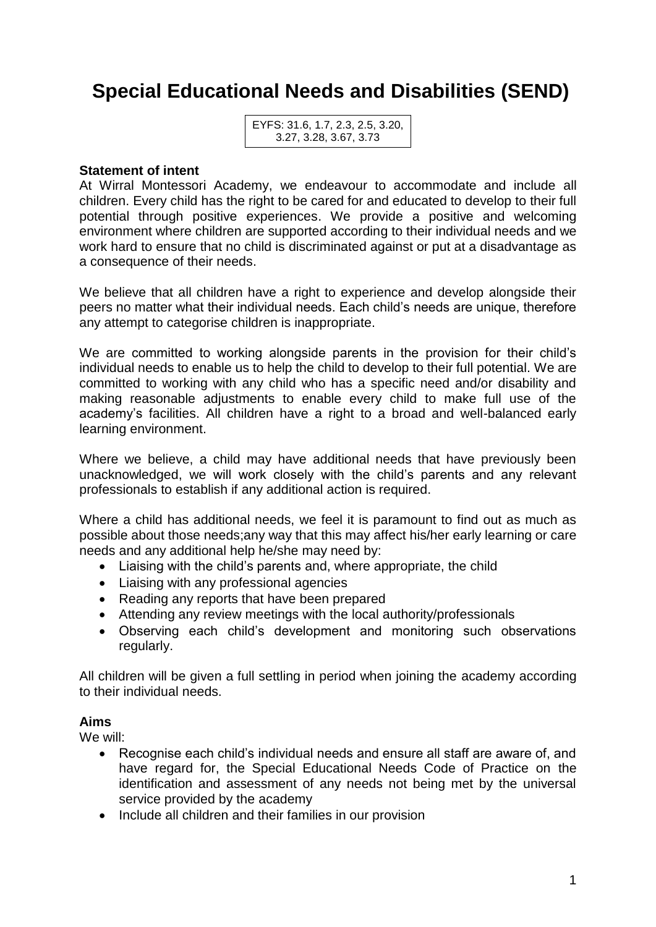# **Special Educational Needs and Disabilities (SEND)**

#### **Statement of intent**

At Wirral Montessori Academy, we endeavour to accommodate and include all children. Every child has the right to be cared for and educated to develop to their full potential through positive experiences. We provide a positive and welcoming environment where children are supported according to their individual needs and we work hard to ensure that no child is discriminated against or put at a disadvantage as a consequence of their needs.

We believe that all children have a right to experience and develop alongside their peers no matter what their individual needs. Each child's needs are unique, therefore any attempt to categorise children is inappropriate.

We are committed to working alongside parents in the provision for their child's individual needs to enable us to help the child to develop to their full potential. We are committed to working with any child who has a specific need and/or disability and making reasonable adjustments to enable every child to make full use of the academy's facilities. All children have a right to a broad and well-balanced early learning environment.

Where we believe, a child may have additional needs that have previously been unacknowledged, we will work closely with the child's parents and any relevant professionals to establish if any additional action is required.

Where a child has additional needs, we feel it is paramount to find out as much as possible about those needs;any way that this may affect his/her early learning or care needs and any additional help he/she may need by:

- Liaising with the child's parents and, where appropriate, the child
- Liaising with any professional agencies
- Reading any reports that have been prepared
- Attending any review meetings with the local authority/professionals
- Observing each child's development and monitoring such observations regularly.

All children will be given a full settling in period when joining the academy according to their individual needs.

#### **Aims**

We will:

- Recognise each child's individual needs and ensure all staff are aware of, and have regard for, the Special Educational Needs Code of Practice on the identification and assessment of any needs not being met by the universal service provided by the academy
- Include all children and their families in our provision

EYFS: 31.6, 1.7, 2.3, 2.5, 3.20, 3.27, 3.28, 3.67, 3.73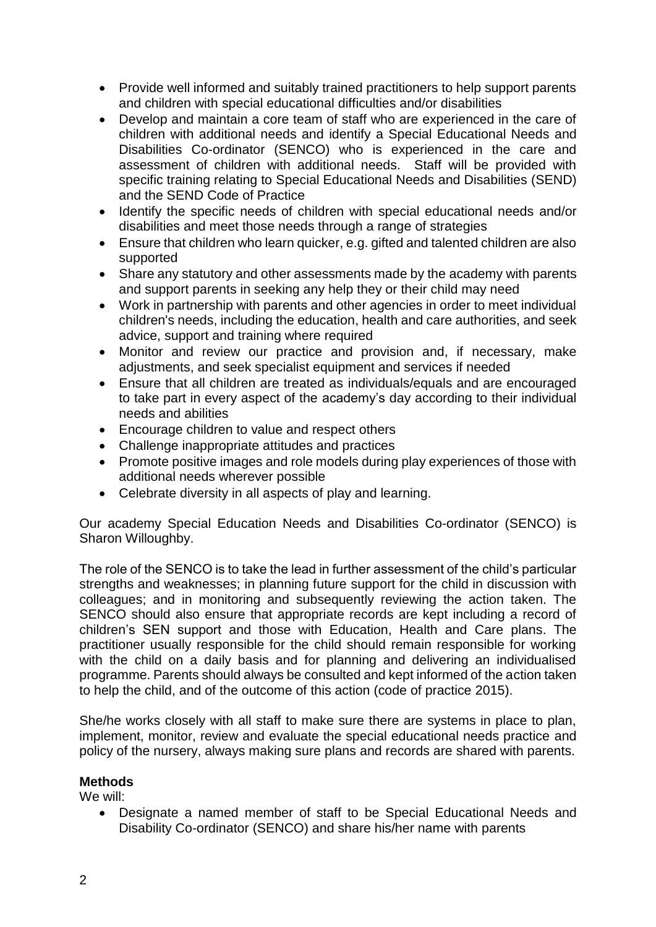- Provide well informed and suitably trained practitioners to help support parents and children with special educational difficulties and/or disabilities
- Develop and maintain a core team of staff who are experienced in the care of children with additional needs and identify a Special Educational Needs and Disabilities Co-ordinator (SENCO) who is experienced in the care and assessment of children with additional needs. Staff will be provided with specific training relating to Special Educational Needs and Disabilities (SEND) and the SEND Code of Practice
- Identify the specific needs of children with special educational needs and/or disabilities and meet those needs through a range of strategies
- Ensure that children who learn quicker, e.g. gifted and talented children are also supported
- Share any statutory and other assessments made by the academy with parents and support parents in seeking any help they or their child may need
- Work in partnership with parents and other agencies in order to meet individual children's needs, including the education, health and care authorities, and seek advice, support and training where required
- Monitor and review our practice and provision and, if necessary, make adjustments, and seek specialist equipment and services if needed
- Ensure that all children are treated as individuals/equals and are encouraged to take part in every aspect of the academy's day according to their individual needs and abilities
- Encourage children to value and respect others
- Challenge inappropriate attitudes and practices
- Promote positive images and role models during play experiences of those with additional needs wherever possible
- Celebrate diversity in all aspects of play and learning.

Our academy Special Education Needs and Disabilities Co-ordinator (SENCO) is Sharon Willoughby.

The role of the SENCO is to take the lead in further assessment of the child's particular strengths and weaknesses; in planning future support for the child in discussion with colleagues; and in monitoring and subsequently reviewing the action taken. The SENCO should also ensure that appropriate records are kept including a record of children's SEN support and those with Education, Health and Care plans. The practitioner usually responsible for the child should remain responsible for working with the child on a daily basis and for planning and delivering an individualised programme. Parents should always be consulted and kept informed of the action taken to help the child, and of the outcome of this action (code of practice 2015).

She/he works closely with all staff to make sure there are systems in place to plan, implement, monitor, review and evaluate the special educational needs practice and policy of the nursery, always making sure plans and records are shared with parents.

## **Methods**

We will:

• Designate a named member of staff to be Special Educational Needs and Disability Co-ordinator (SENCO) and share his/her name with parents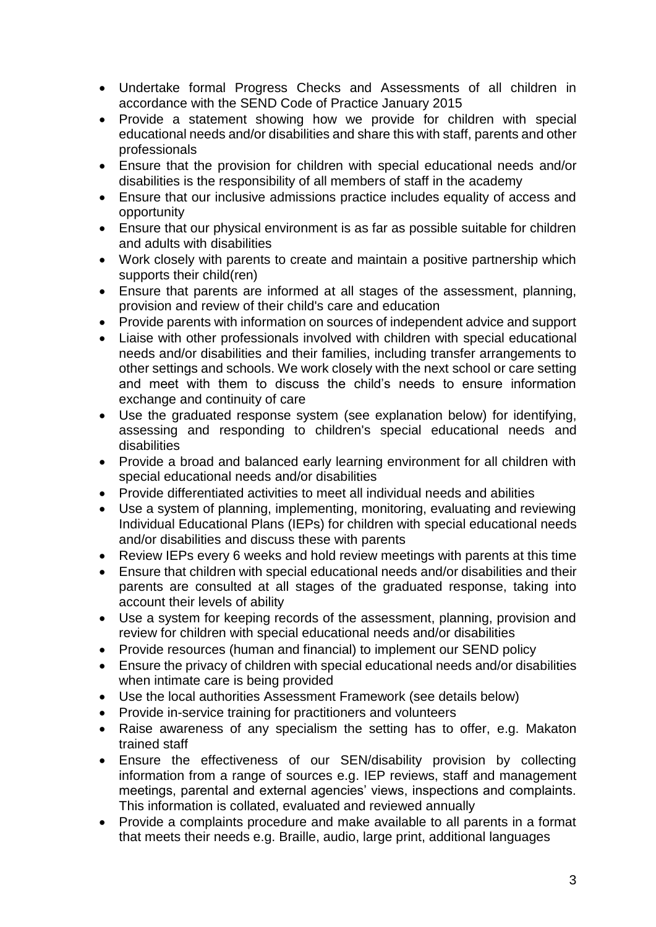- Undertake formal Progress Checks and Assessments of all children in accordance with the SEND Code of Practice January 2015
- Provide a statement showing how we provide for children with special educational needs and/or disabilities and share this with staff, parents and other professionals
- Ensure that the provision for children with special educational needs and/or disabilities is the responsibility of all members of staff in the academy
- Ensure that our inclusive admissions practice includes equality of access and opportunity
- Ensure that our physical environment is as far as possible suitable for children and adults with disabilities
- Work closely with parents to create and maintain a positive partnership which supports their child(ren)
- Ensure that parents are informed at all stages of the assessment, planning, provision and review of their child's care and education
- Provide parents with information on sources of independent advice and support
- Liaise with other professionals involved with children with special educational needs and/or disabilities and their families, including transfer arrangements to other settings and schools. We work closely with the next school or care setting and meet with them to discuss the child's needs to ensure information exchange and continuity of care
- Use the graduated response system (see explanation below) for identifying, assessing and responding to children's special educational needs and disabilities
- Provide a broad and balanced early learning environment for all children with special educational needs and/or disabilities
- Provide differentiated activities to meet all individual needs and abilities
- Use a system of planning, implementing, monitoring, evaluating and reviewing Individual Educational Plans (IEPs) for children with special educational needs and/or disabilities and discuss these with parents
- Review IEPs every 6 weeks and hold review meetings with parents at this time
- Ensure that children with special educational needs and/or disabilities and their parents are consulted at all stages of the graduated response, taking into account their levels of ability
- Use a system for keeping records of the assessment, planning, provision and review for children with special educational needs and/or disabilities
- Provide resources (human and financial) to implement our SEND policy
- Ensure the privacy of children with special educational needs and/or disabilities when intimate care is being provided
- Use the local authorities Assessment Framework (see details below)
- Provide in-service training for practitioners and volunteers
- Raise awareness of any specialism the setting has to offer, e.g. Makaton trained staff
- Ensure the effectiveness of our SEN/disability provision by collecting information from a range of sources e.g. IEP reviews, staff and management meetings, parental and external agencies' views, inspections and complaints. This information is collated, evaluated and reviewed annually
- Provide a complaints procedure and make available to all parents in a format that meets their needs e.g. Braille, audio, large print, additional languages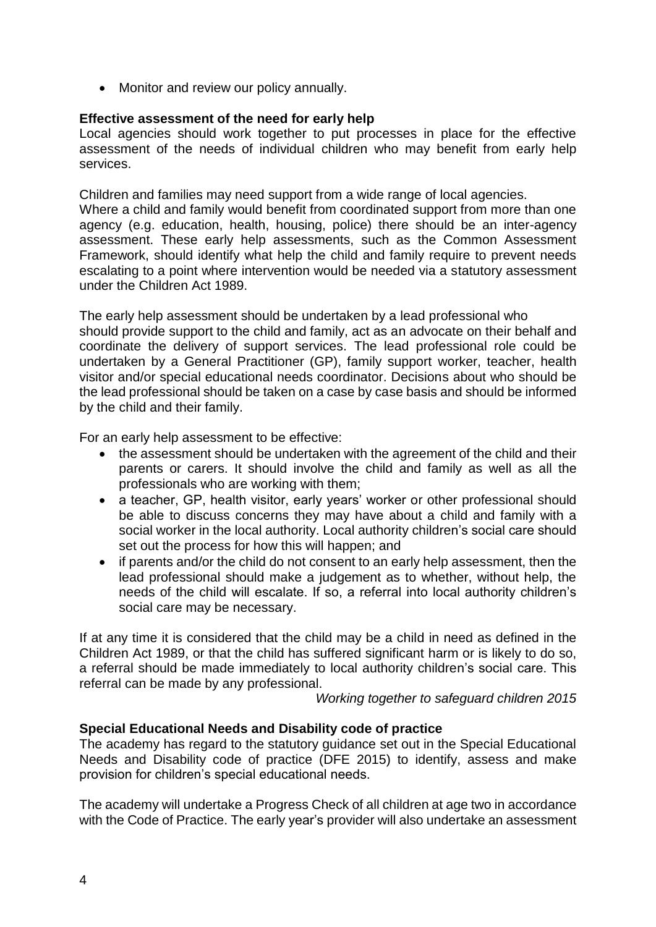• Monitor and review our policy annually.

### **Effective assessment of the need for early help**

Local agencies should work together to put processes in place for the effective assessment of the needs of individual children who may benefit from early help services.

Children and families may need support from a wide range of local agencies.

Where a child and family would benefit from coordinated support from more than one agency (e.g. education, health, housing, police) there should be an inter-agency assessment. These early help assessments, such as the Common Assessment Framework, should identify what help the child and family require to prevent needs escalating to a point where intervention would be needed via a statutory assessment under the Children Act 1989.

The early help assessment should be undertaken by a lead professional who should provide support to the child and family, act as an advocate on their behalf and coordinate the delivery of support services. The lead professional role could be undertaken by a General Practitioner (GP), family support worker, teacher, health visitor and/or special educational needs coordinator. Decisions about who should be the lead professional should be taken on a case by case basis and should be informed by the child and their family.

For an early help assessment to be effective:

- the assessment should be undertaken with the agreement of the child and their parents or carers. It should involve the child and family as well as all the professionals who are working with them;
- a teacher, GP, health visitor, early vears' worker or other professional should be able to discuss concerns they may have about a child and family with a social worker in the local authority. Local authority children's social care should set out the process for how this will happen; and
- if parents and/or the child do not consent to an early help assessment, then the lead professional should make a judgement as to whether, without help, the needs of the child will escalate. If so, a referral into local authority children's social care may be necessary.

If at any time it is considered that the child may be a child in need as defined in the Children Act 1989, or that the child has suffered significant harm or is likely to do so, a referral should be made immediately to local authority children's social care. This referral can be made by any professional.

*Working together to safeguard children 2015*

#### **Special Educational Needs and Disability code of practice**

The academy has regard to the statutory guidance set out in the Special Educational Needs and Disability code of practice (DFE 2015) to identify, assess and make provision for children's special educational needs.

The academy will undertake a Progress Check of all children at age two in accordance with the Code of Practice. The early year's provider will also undertake an assessment